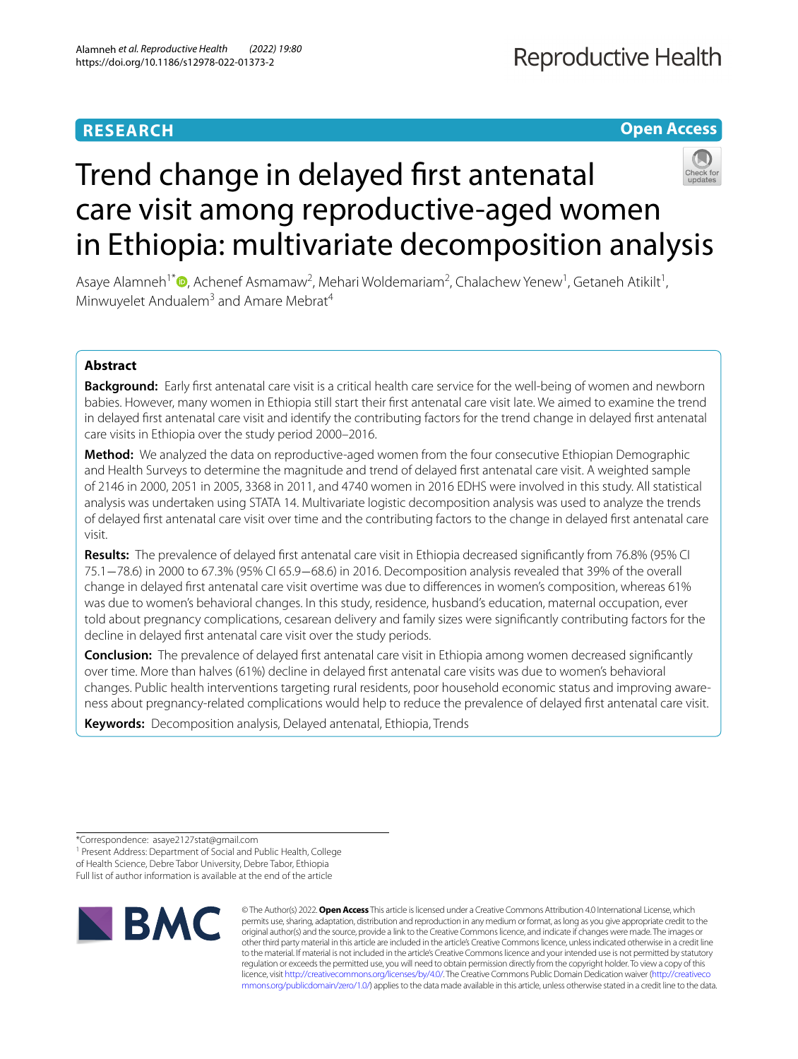# **RESEARCH**

**Open Access**

# Trend change in delayed frst antenatal care visit among reproductive-aged women in Ethiopia: multivariate decomposition analysis

Asaye Alamneh<sup>1\*</sup><sup>®</sup>[,](http://orcid.org/0000-0001-6144-2353) Achenef Asmamaw<sup>2</sup>, Mehari Woldemariam<sup>2</sup>, Chalachew Yenew<sup>1</sup>, Getaneh Atikilt<sup>1</sup>, Minwuyelet Andualem<sup>3</sup> and Amare Mebrat<sup>4</sup>

# **Abstract**

**Background:** Early frst antenatal care visit is a critical health care service for the well-being of women and newborn babies. However, many women in Ethiopia still start their frst antenatal care visit late. We aimed to examine the trend in delayed frst antenatal care visit and identify the contributing factors for the trend change in delayed frst antenatal care visits in Ethiopia over the study period 2000–2016.

**Method:** We analyzed the data on reproductive-aged women from the four consecutive Ethiopian Demographic and Health Surveys to determine the magnitude and trend of delayed frst antenatal care visit. A weighted sample of 2146 in 2000, 2051 in 2005, 3368 in 2011, and 4740 women in 2016 EDHS were involved in this study. All statistical analysis was undertaken using STATA 14. Multivariate logistic decomposition analysis was used to analyze the trends of delayed frst antenatal care visit over time and the contributing factors to the change in delayed frst antenatal care visit.

**Results:** The prevalence of delayed frst antenatal care visit in Ethiopia decreased signifcantly from 76.8% (95% CI 75.1−78.6) in 2000 to 67.3% (95% CI 65.9−68.6) in 2016. Decomposition analysis revealed that 39% of the overall change in delayed frst antenatal care visit overtime was due to diferences in women's composition, whereas 61% was due to women's behavioral changes. In this study, residence, husband's education, maternal occupation, ever told about pregnancy complications, cesarean delivery and family sizes were signifcantly contributing factors for the decline in delayed frst antenatal care visit over the study periods.

**Conclusion:** The prevalence of delayed frst antenatal care visit in Ethiopia among women decreased signifcantly over time. More than halves (61%) decline in delayed frst antenatal care visits was due to women's behavioral changes. Public health interventions targeting rural residents, poor household economic status and improving awareness about pregnancy-related complications would help to reduce the prevalence of delayed frst antenatal care visit.

**Keywords:** Decomposition analysis, Delayed antenatal, Ethiopia, Trends

<sup>1</sup> Present Address: Department of Social and Public Health, College of Health Science, Debre Tabor University, Debre Tabor, Ethiopia Full list of author information is available at the end of the article



© The Author(s) 2022. **Open Access** This article is licensed under a Creative Commons Attribution 4.0 International License, which permits use, sharing, adaptation, distribution and reproduction in any medium or format, as long as you give appropriate credit to the original author(s) and the source, provide a link to the Creative Commons licence, and indicate if changes were made. The images or other third party material in this article are included in the article's Creative Commons licence, unless indicated otherwise in a credit line to the material. If material is not included in the article's Creative Commons licence and your intended use is not permitted by statutory regulation or exceeds the permitted use, you will need to obtain permission directly from the copyright holder. To view a copy of this licence, visit [http://creativecommons.org/licenses/by/4.0/.](http://creativecommons.org/licenses/by/4.0/) The Creative Commons Public Domain Dedication waiver ([http://creativeco](http://creativecommons.org/publicdomain/zero/1.0/) [mmons.org/publicdomain/zero/1.0/](http://creativecommons.org/publicdomain/zero/1.0/)) applies to the data made available in this article, unless otherwise stated in a credit line to the data.

<sup>\*</sup>Correspondence: asaye2127stat@gmail.com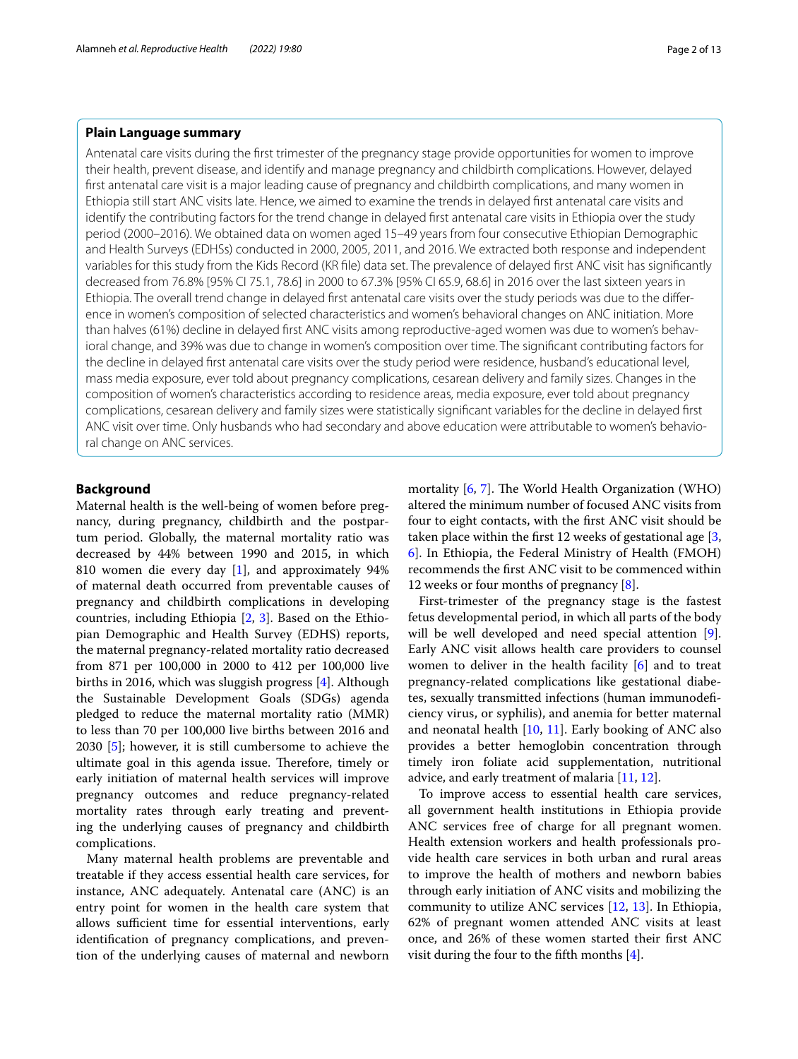# **Plain Language summary**

Antenatal care visits during the frst trimester of the pregnancy stage provide opportunities for women to improve their health, prevent disease, and identify and manage pregnancy and childbirth complications. However, delayed frst antenatal care visit is a major leading cause of pregnancy and childbirth complications, and many women in Ethiopia still start ANC visits late. Hence, we aimed to examine the trends in delayed frst antenatal care visits and identify the contributing factors for the trend change in delayed frst antenatal care visits in Ethiopia over the study period (2000–2016). We obtained data on women aged 15–49 years from four consecutive Ethiopian Demographic and Health Surveys (EDHSs) conducted in 2000, 2005, 2011, and 2016. We extracted both response and independent variables for this study from the Kids Record (KR fle) data set. The prevalence of delayed frst ANC visit has signifcantly decreased from 76.8% [95% CI 75.1, 78.6] in 2000 to 67.3% [95% CI 65.9, 68.6] in 2016 over the last sixteen years in Ethiopia. The overall trend change in delayed frst antenatal care visits over the study periods was due to the diference in women's composition of selected characteristics and women's behavioral changes on ANC initiation. More than halves (61%) decline in delayed frst ANC visits among reproductive-aged women was due to women's behavioral change, and 39% was due to change in women's composition over time. The signifcant contributing factors for the decline in delayed frst antenatal care visits over the study period were residence, husband's educational level, mass media exposure, ever told about pregnancy complications, cesarean delivery and family sizes. Changes in the composition of women's characteristics according to residence areas, media exposure, ever told about pregnancy complications, cesarean delivery and family sizes were statistically signifcant variables for the decline in delayed frst ANC visit over time. Only husbands who had secondary and above education were attributable to women's behavioral change on ANC services.

# **Background**

Maternal health is the well-being of women before pregnancy, during pregnancy, childbirth and the postpartum period. Globally, the maternal mortality ratio was decreased by 44% between 1990 and 2015, in which 810 women die every day [\[1](#page-11-0)], and approximately 94% of maternal death occurred from preventable causes of pregnancy and childbirth complications in developing countries, including Ethiopia [\[2](#page-11-1), [3\]](#page-11-2). Based on the Ethiopian Demographic and Health Survey (EDHS) reports, the maternal pregnancy-related mortality ratio decreased from 871 per 100,000 in 2000 to 412 per 100,000 live births in 2016, which was sluggish progress [\[4\]](#page-11-3). Although the Sustainable Development Goals (SDGs) agenda pledged to reduce the maternal mortality ratio (MMR) to less than 70 per 100,000 live births between 2016 and 2030 [\[5](#page-11-4)]; however, it is still cumbersome to achieve the ultimate goal in this agenda issue. Therefore, timely or early initiation of maternal health services will improve pregnancy outcomes and reduce pregnancy-related mortality rates through early treating and preventing the underlying causes of pregnancy and childbirth complications.

Many maternal health problems are preventable and treatable if they access essential health care services, for instance, ANC adequately. Antenatal care (ANC) is an entry point for women in the health care system that allows sufficient time for essential interventions, early identifcation of pregnancy complications, and prevention of the underlying causes of maternal and newborn mortality  $[6, 7]$  $[6, 7]$  $[6, 7]$  $[6, 7]$ . The World Health Organization (WHO) altered the minimum number of focused ANC visits from four to eight contacts, with the frst ANC visit should be taken place within the frst 12 weeks of gestational age [\[3](#page-11-2), [6\]](#page-11-5). In Ethiopia, the Federal Ministry of Health (FMOH) recommends the frst ANC visit to be commenced within 12 weeks or four months of pregnancy [[8\]](#page-11-7).

First-trimester of the pregnancy stage is the fastest fetus developmental period, in which all parts of the body will be well developed and need special attention [\[9](#page-11-8)]. Early ANC visit allows health care providers to counsel women to deliver in the health facility [[6\]](#page-11-5) and to treat pregnancy-related complications like gestational diabetes, sexually transmitted infections (human immunodefciency virus, or syphilis), and anemia for better maternal and neonatal health [\[10,](#page-11-9) [11](#page-11-10)]. Early booking of ANC also provides a better hemoglobin concentration through timely iron foliate acid supplementation, nutritional advice, and early treatment of malaria [[11,](#page-11-10) [12](#page-11-11)].

To improve access to essential health care services, all government health institutions in Ethiopia provide ANC services free of charge for all pregnant women. Health extension workers and health professionals provide health care services in both urban and rural areas to improve the health of mothers and newborn babies through early initiation of ANC visits and mobilizing the community to utilize ANC services [\[12,](#page-11-11) [13\]](#page-11-12). In Ethiopia, 62% of pregnant women attended ANC visits at least once, and 26% of these women started their frst ANC visit during the four to the ffth months [\[4](#page-11-3)].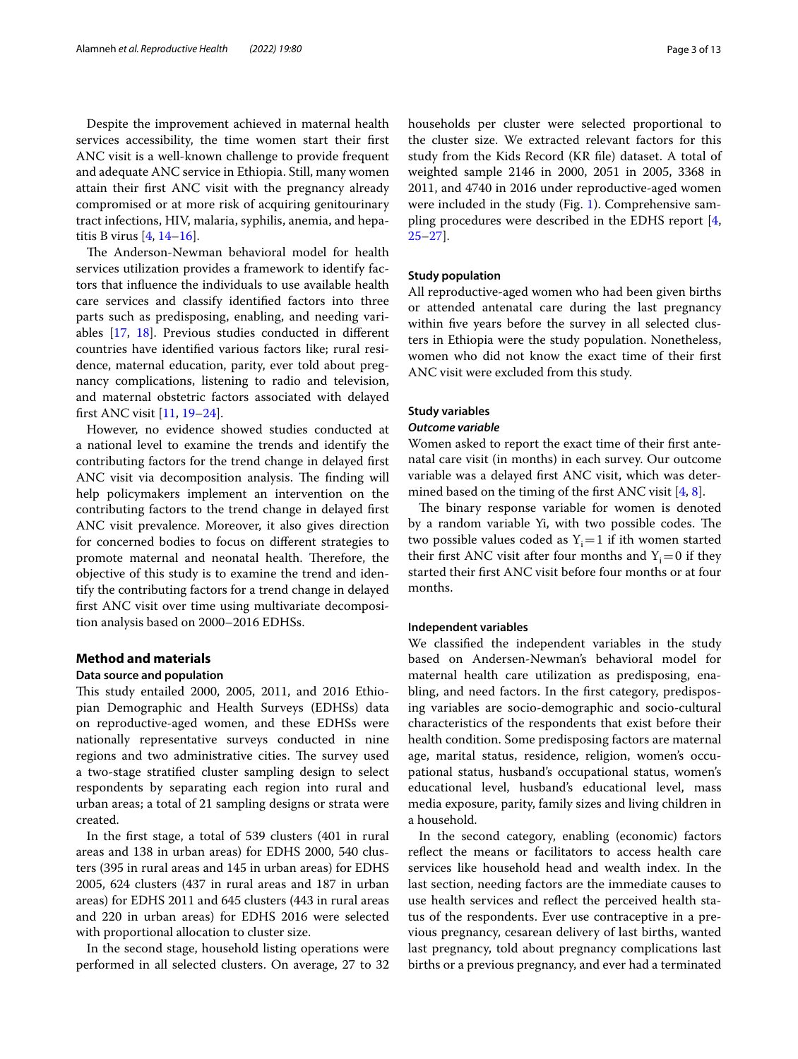Despite the improvement achieved in maternal health services accessibility, the time women start their frst ANC visit is a well-known challenge to provide frequent and adequate ANC service in Ethiopia. Still, many women attain their frst ANC visit with the pregnancy already compromised or at more risk of acquiring genitourinary tract infections, HIV, malaria, syphilis, anemia, and hepatitis B virus [[4,](#page-11-3) [14–](#page-11-13)[16\]](#page-11-14).

The Anderson-Newman behavioral model for health services utilization provides a framework to identify factors that infuence the individuals to use available health care services and classify identifed factors into three parts such as predisposing, enabling, and needing variables [\[17,](#page-12-0) [18\]](#page-12-1). Previous studies conducted in diferent countries have identifed various factors like; rural residence, maternal education, parity, ever told about pregnancy complications, listening to radio and television, and maternal obstetric factors associated with delayed frst ANC visit [\[11](#page-11-10), [19–](#page-12-2)[24](#page-12-3)].

However, no evidence showed studies conducted at a national level to examine the trends and identify the contributing factors for the trend change in delayed frst ANC visit via decomposition analysis. The finding will help policymakers implement an intervention on the contributing factors to the trend change in delayed frst ANC visit prevalence. Moreover, it also gives direction for concerned bodies to focus on diferent strategies to promote maternal and neonatal health. Therefore, the objective of this study is to examine the trend and identify the contributing factors for a trend change in delayed frst ANC visit over time using multivariate decomposition analysis based on 2000–2016 EDHSs.

### **Method and materials**

### **Data source and population**

This study entailed 2000, 2005, 2011, and 2016 Ethiopian Demographic and Health Surveys (EDHSs) data on reproductive-aged women, and these EDHSs were nationally representative surveys conducted in nine regions and two administrative cities. The survey used a two-stage stratifed cluster sampling design to select respondents by separating each region into rural and urban areas; a total of 21 sampling designs or strata were created.

In the frst stage, a total of 539 clusters (401 in rural areas and 138 in urban areas) for EDHS 2000, 540 clusters (395 in rural areas and 145 in urban areas) for EDHS 2005, 624 clusters (437 in rural areas and 187 in urban areas) for EDHS 2011 and 645 clusters (443 in rural areas and 220 in urban areas) for EDHS 2016 were selected with proportional allocation to cluster size.

In the second stage, household listing operations were performed in all selected clusters. On average, 27 to 32 households per cluster were selected proportional to the cluster size. We extracted relevant factors for this study from the Kids Record (KR fle) dataset. A total of weighted sample 2146 in 2000, 2051 in 2005, 3368 in 2011, and 4740 in 2016 under reproductive-aged women were included in the study (Fig. [1](#page-3-0)). Comprehensive sam-pling procedures were described in the EDHS report [\[4](#page-11-3), [25](#page-12-4)[–27](#page-12-5)].

# **Study population**

All reproductive-aged women who had been given births or attended antenatal care during the last pregnancy within five years before the survey in all selected clusters in Ethiopia were the study population. Nonetheless, women who did not know the exact time of their frst ANC visit were excluded from this study.

#### **Study variables**

#### *Outcome variable*

Women asked to report the exact time of their frst antenatal care visit (in months) in each survey. Our outcome variable was a delayed frst ANC visit, which was deter-mined based on the timing of the first ANC visit [[4,](#page-11-3) [8](#page-11-7)].

The binary response variable for women is denoted by a random variable Yi, with two possible codes. The two possible values coded as  $Y_i=1$  if ith women started their first ANC visit after four months and  $Y_i=0$  if they started their frst ANC visit before four months or at four months.

#### **Independent variables**

We classifed the independent variables in the study based on Andersen-Newman's behavioral model for maternal health care utilization as predisposing, enabling, and need factors. In the frst category, predisposing variables are socio-demographic and socio-cultural characteristics of the respondents that exist before their health condition. Some predisposing factors are maternal age, marital status, residence, religion, women's occupational status, husband's occupational status, women's educational level, husband's educational level, mass media exposure, parity, family sizes and living children in a household.

In the second category, enabling (economic) factors refect the means or facilitators to access health care services like household head and wealth index. In the last section, needing factors are the immediate causes to use health services and refect the perceived health status of the respondents. Ever use contraceptive in a previous pregnancy, cesarean delivery of last births, wanted last pregnancy, told about pregnancy complications last births or a previous pregnancy, and ever had a terminated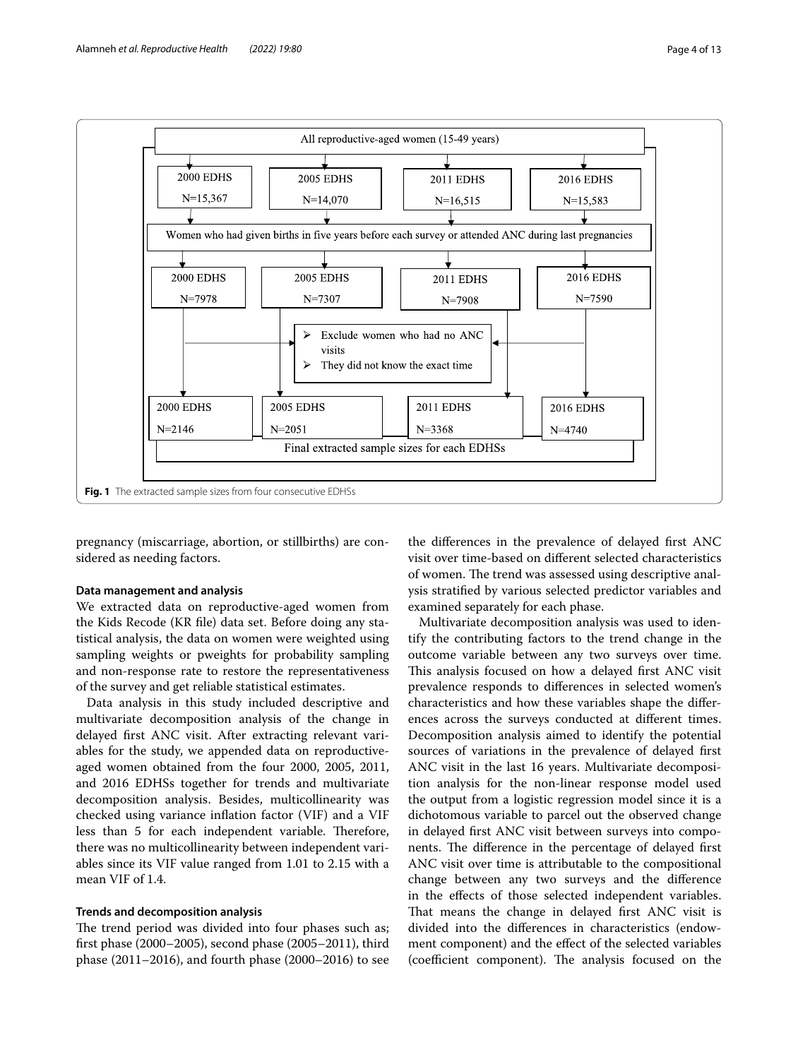

<span id="page-3-0"></span>pregnancy (miscarriage, abortion, or stillbirths) are considered as needing factors.

# **Data management and analysis**

We extracted data on reproductive-aged women from the Kids Recode (KR fle) data set. Before doing any statistical analysis, the data on women were weighted using sampling weights or pweights for probability sampling and non-response rate to restore the representativeness of the survey and get reliable statistical estimates.

Data analysis in this study included descriptive and multivariate decomposition analysis of the change in delayed frst ANC visit. After extracting relevant variables for the study, we appended data on reproductiveaged women obtained from the four 2000, 2005, 2011, and 2016 EDHSs together for trends and multivariate decomposition analysis. Besides, multicollinearity was checked using variance infation factor (VIF) and a VIF less than 5 for each independent variable. Therefore, there was no multicollinearity between independent variables since its VIF value ranged from 1.01 to 2.15 with a mean VIF of 1.4.

# **Trends and decomposition analysis**

The trend period was divided into four phases such as; frst phase (2000–2005), second phase (2005–2011), third phase (2011–2016), and fourth phase (2000–2016) to see

the diferences in the prevalence of delayed frst ANC visit over time-based on diferent selected characteristics of women. The trend was assessed using descriptive analysis stratifed by various selected predictor variables and examined separately for each phase.

Multivariate decomposition analysis was used to identify the contributing factors to the trend change in the outcome variable between any two surveys over time. This analysis focused on how a delayed first ANC visit prevalence responds to diferences in selected women's characteristics and how these variables shape the diferences across the surveys conducted at diferent times. Decomposition analysis aimed to identify the potential sources of variations in the prevalence of delayed frst ANC visit in the last 16 years. Multivariate decomposition analysis for the non-linear response model used the output from a logistic regression model since it is a dichotomous variable to parcel out the observed change in delayed frst ANC visit between surveys into components. The difference in the percentage of delayed first ANC visit over time is attributable to the compositional change between any two surveys and the diference in the efects of those selected independent variables. That means the change in delayed first ANC visit is divided into the diferences in characteristics (endowment component) and the efect of the selected variables (coefficient component). The analysis focused on the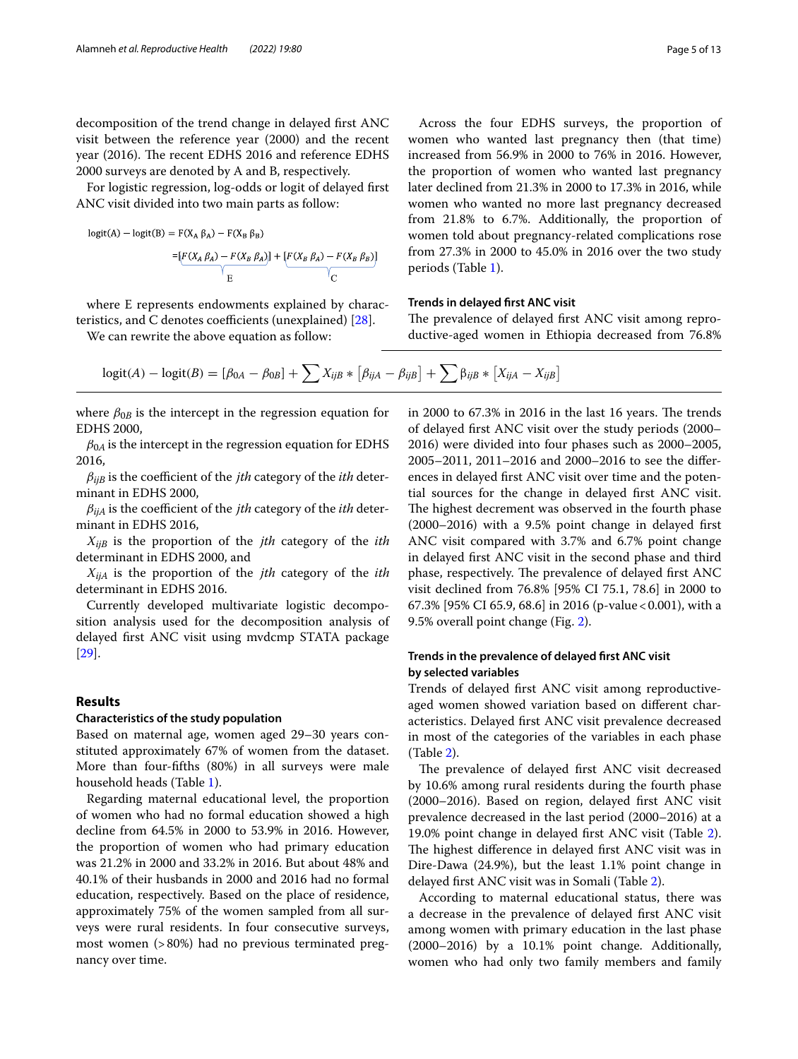decomposition of the trend change in delayed frst ANC visit between the reference year (2000) and the recent year (2016). The recent EDHS 2016 and reference EDHS 2000 surveys are denoted by A and B, respectively.

For logistic regression, log-odds or logit of delayed frst ANC visit divided into two main parts as follow:

$$
logit(A) - logit(B) = F(X_A \beta_A) - F(X_B \beta_B)
$$
  
= 
$$
[F(X_A \beta_A) - F(X_B \beta_A)] + [F(X_B \beta_A) - F(X_B \beta_B)]
$$
  
F

where E represents endowments explained by characteristics, and C denotes coefficients (unexplained)  $[28]$ .

We can rewrite the above equation as follow:

Across the four EDHS surveys, the proportion of women who wanted last pregnancy then (that time) increased from 56.9% in 2000 to 76% in 2016. However, the proportion of women who wanted last pregnancy later declined from 21.3% in 2000 to 17.3% in 2016, while women who wanted no more last pregnancy decreased from 21.8% to 6.7%. Additionally, the proportion of women told about pregnancy-related complications rose from 27.3% in 2000 to 45.0% in 2016 over the two study periods (Table [1\)](#page-5-0).

## **Trends in delayed frst ANC visit**

The prevalence of delayed first ANC visit among reproductive-aged women in Ethiopia decreased from 76.8%

$$
logit(A) – logit(B) = [\beta_{0A} – \beta_{0B}] + \sum X_{ijB} * [\beta_{ijA} – \beta_{ijB}] + \sum \beta_{ijB} * [X_{ijA} – X_{ijB}]
$$

where  $\beta_{0B}$  is the intercept in the regression equation for EDHS 2000,

 $\beta_{0A}$  is the intercept in the regression equation for EDHS 2016,

 $\beta_{iiB}$  is the coefficient of the *jth* category of the *ith* determinant in EDHS 2000,

 $\beta_{iiA}$  is the coefficient of the *jth* category of the *ith* determinant in EDHS 2016,

 $X_{iiB}$  is the proportion of the *jth* category of the *ith* determinant in EDHS 2000, and

 $X_{ijA}$  is the proportion of the *jth* category of the *ith* determinant in EDHS 2016.

Currently developed multivariate logistic decomposition analysis used for the decomposition analysis of delayed frst ANC visit using mvdcmp STATA package [[29\]](#page-12-7).

# **Results**

#### **Characteristics of the study population**

Based on maternal age, women aged 29–30 years constituted approximately 67% of women from the dataset. More than four-ffths (80%) in all surveys were male household heads (Table [1](#page-5-0)).

Regarding maternal educational level, the proportion of women who had no formal education showed a high decline from 64.5% in 2000 to 53.9% in 2016. However, the proportion of women who had primary education was 21.2% in 2000 and 33.2% in 2016. But about 48% and 40.1% of their husbands in 2000 and 2016 had no formal education, respectively. Based on the place of residence, approximately 75% of the women sampled from all surveys were rural residents. In four consecutive surveys, most women (>80%) had no previous terminated pregnancy over time.

in 2000 to  $67.3\%$  in 2016 in the last 16 years. The trends of delayed frst ANC visit over the study periods (2000– 2016) were divided into four phases such as 2000–2005, 2005–2011, 2011–2016 and 2000–2016 to see the diferences in delayed frst ANC visit over time and the potential sources for the change in delayed frst ANC visit. The highest decrement was observed in the fourth phase (2000–2016) with a 9.5% point change in delayed frst ANC visit compared with 3.7% and 6.7% point change in delayed frst ANC visit in the second phase and third phase, respectively. The prevalence of delayed first ANC visit declined from 76.8% [95% CI 75.1, 78.6] in 2000 to 67.3% [95% CI 65.9, 68.6] in 2016 (p-value<0.001), with a 9.5% overall point change (Fig. [2](#page-6-0)).

# **Trends in the prevalence of delayed frst ANC visit by selected variables**

Trends of delayed frst ANC visit among reproductiveaged women showed variation based on diferent characteristics. Delayed frst ANC visit prevalence decreased in most of the categories of the variables in each phase (Table [2\)](#page-7-0).

The prevalence of delayed first ANC visit decreased by 10.6% among rural residents during the fourth phase (2000–2016). Based on region, delayed frst ANC visit prevalence decreased in the last period (2000–2016) at a 19.0% point change in delayed frst ANC visit (Table [2](#page-7-0)). The highest difference in delayed first ANC visit was in Dire-Dawa (24.9%), but the least 1.1% point change in delayed frst ANC visit was in Somali (Table [2\)](#page-7-0).

According to maternal educational status, there was a decrease in the prevalence of delayed frst ANC visit among women with primary education in the last phase (2000–2016) by a 10.1% point change. Additionally, women who had only two family members and family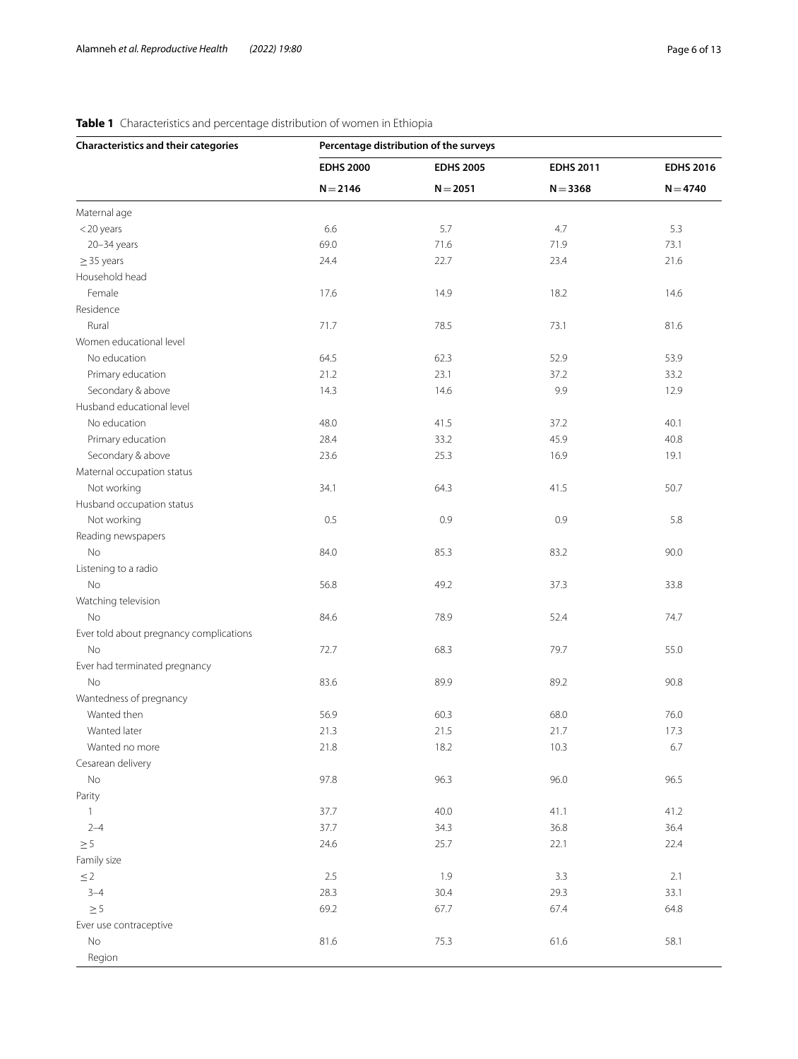# <span id="page-5-0"></span>**Table 1** Characteristics and percentage distribution of women in Ethiopia

| <b>Characteristics and their categories</b> | Percentage distribution of the surveys |                  |                  |                  |  |  |  |
|---------------------------------------------|----------------------------------------|------------------|------------------|------------------|--|--|--|
|                                             | <b>EDHS 2000</b>                       | <b>EDHS 2005</b> | <b>EDHS 2011</b> | <b>EDHS 2016</b> |  |  |  |
|                                             | $N = 2146$                             | $N = 2051$       | $N = 3368$       | $N = 4740$       |  |  |  |
| Maternal age                                |                                        |                  |                  |                  |  |  |  |
| <20 years                                   | 6.6                                    | 5.7              | 4.7              | 5.3              |  |  |  |
| $20 - 34$ years                             | 69.0                                   | 71.6             | 71.9             | 73.1             |  |  |  |
| $\geq$ 35 years                             | 24.4                                   | 22.7             | 23.4             | 21.6             |  |  |  |
| Household head                              |                                        |                  |                  |                  |  |  |  |
| Female                                      | 17.6                                   | 14.9             | 18.2             | 14.6             |  |  |  |
| Residence                                   |                                        |                  |                  |                  |  |  |  |
| Rural                                       | 71.7                                   | 78.5             | 73.1             | 81.6             |  |  |  |
| Women educational level                     |                                        |                  |                  |                  |  |  |  |
| No education                                | 64.5                                   | 62.3             | 52.9             | 53.9             |  |  |  |
| Primary education                           | 21.2                                   | 23.1             | 37.2             | 33.2             |  |  |  |
| Secondary & above                           | 14.3                                   | 14.6             | 9.9              | 12.9             |  |  |  |
| Husband educational level                   |                                        |                  |                  |                  |  |  |  |
| No education                                | 48.0                                   | 41.5             | 37.2             | 40.1             |  |  |  |
| Primary education                           | 28.4                                   | 33.2             | 45.9             | 40.8             |  |  |  |
| Secondary & above                           | 23.6                                   | 25.3             | 16.9             | 19.1             |  |  |  |
| Maternal occupation status                  |                                        |                  |                  |                  |  |  |  |
| Not working                                 | 34.1                                   | 64.3             | 41.5             | 50.7             |  |  |  |
| Husband occupation status                   |                                        |                  |                  |                  |  |  |  |
| Not working                                 | 0.5                                    | 0.9              | 0.9              | 5.8              |  |  |  |
| Reading newspapers                          |                                        |                  |                  |                  |  |  |  |
| No                                          | 84.0                                   | 85.3             | 83.2             | 90.0             |  |  |  |
|                                             |                                        |                  |                  |                  |  |  |  |
| Listening to a radio                        |                                        |                  |                  |                  |  |  |  |
| No                                          | 56.8                                   | 49.2             | 37.3             | 33.8             |  |  |  |
| Watching television                         |                                        |                  |                  |                  |  |  |  |
| No                                          | 84.6                                   | 78.9             | 52.4             | 74.7             |  |  |  |
| Ever told about pregnancy complications     |                                        |                  |                  |                  |  |  |  |
| No                                          | 72.7                                   | 68.3             | 79.7             | 55.0             |  |  |  |
| Ever had terminated pregnancy               |                                        |                  |                  |                  |  |  |  |
| No                                          | 83.6                                   | 89.9             | 89.2             | 90.8             |  |  |  |
| Wantedness of pregnancy                     |                                        |                  |                  |                  |  |  |  |
| Wanted then                                 | 56.9                                   | 60.3             | 68.0             | 76.0             |  |  |  |
| Wanted later                                | 21.3                                   | 21.5             | 21.7             | 17.3             |  |  |  |
| Wanted no more                              | 21.8                                   | 18.2             | 10.3             | 6.7              |  |  |  |
| Cesarean delivery                           |                                        |                  |                  |                  |  |  |  |
| No                                          | 97.8                                   | 96.3             | 96.0             | 96.5             |  |  |  |
| Parity                                      |                                        |                  |                  |                  |  |  |  |
| $\mathbf{1}$                                | 37.7                                   | 40.0             | 41.1             | 41.2             |  |  |  |
| $2 - 4$                                     | 37.7                                   | 34.3             | 36.8             | 36.4             |  |  |  |
| $\geq 5$                                    | 24.6                                   | 25.7             | 22.1             | 22.4             |  |  |  |
| Family size                                 |                                        |                  |                  |                  |  |  |  |
| $\leq$ 2                                    | 2.5                                    | 1.9              | 3.3              | 2.1              |  |  |  |
| $3 - 4$                                     | 28.3                                   | 30.4             | 29.3             | 33.1             |  |  |  |
| $\geq 5$                                    | 69.2                                   | 67.7             | 67.4             | 64.8             |  |  |  |
| Ever use contraceptive                      |                                        |                  |                  |                  |  |  |  |
| No                                          | 81.6                                   | 75.3             | 61.6             | 58.1             |  |  |  |
| Region                                      |                                        |                  |                  |                  |  |  |  |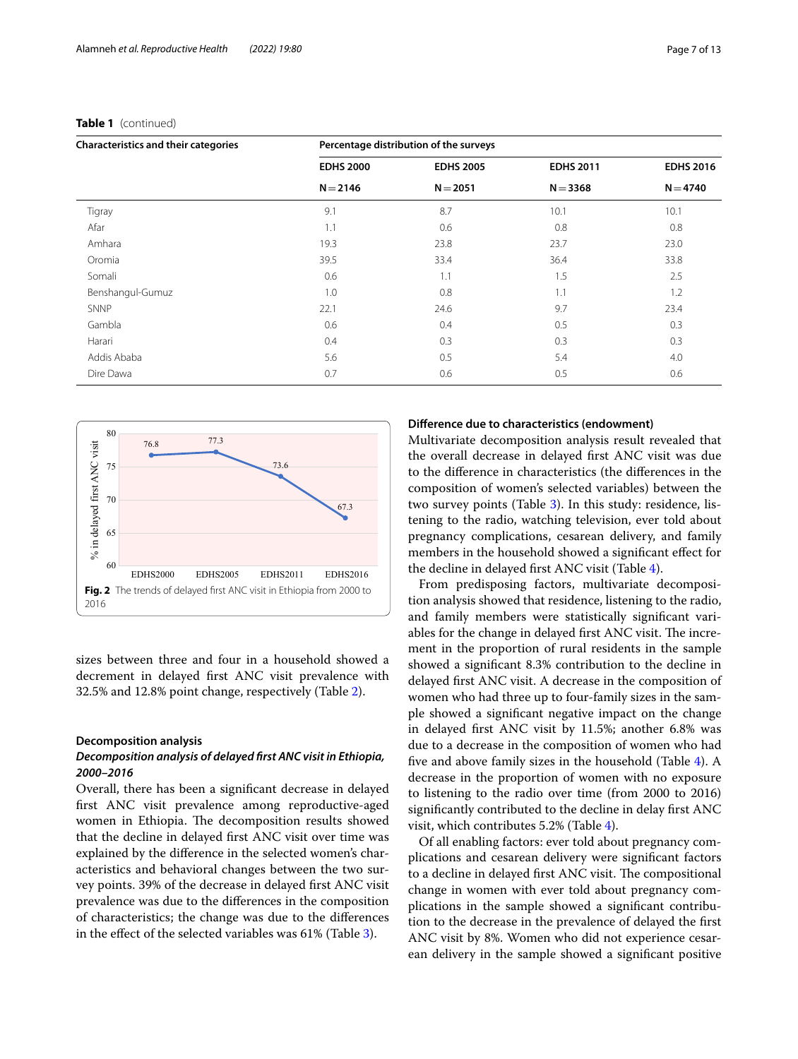| <b>Characteristics and their categories</b> | Percentage distribution of the surveys |                  |                  |                  |  |  |  |
|---------------------------------------------|----------------------------------------|------------------|------------------|------------------|--|--|--|
|                                             | <b>EDHS 2000</b>                       | <b>EDHS 2005</b> | <b>EDHS 2011</b> | <b>EDHS 2016</b> |  |  |  |
|                                             | $N = 2146$                             | $N = 2051$       | $N = 3368$       | $N = 4740$       |  |  |  |
| Tigray                                      | 9.1                                    | 8.7              | 10.1             | 10.1             |  |  |  |
| Afar                                        | 1.1                                    | 0.6              | 0.8              | 0.8              |  |  |  |
| Amhara                                      | 19.3                                   | 23.8             | 23.7             | 23.0             |  |  |  |
| Oromia                                      | 39.5                                   | 33.4             | 36.4             | 33.8             |  |  |  |
| Somali                                      | 0.6                                    | 1.1              | 1.5              | 2.5              |  |  |  |
| Benshangul-Gumuz                            | 1.0                                    | 0.8              | 1.1              | 1.2              |  |  |  |
| <b>SNNP</b>                                 | 22.1                                   | 24.6             | 9.7              | 23.4             |  |  |  |
| Gambla                                      | 0.6                                    | 0.4              | 0.5              | 0.3              |  |  |  |
| Harari                                      | 0.4                                    | 0.3              | 0.3              | 0.3              |  |  |  |
| Addis Ababa                                 | 5.6                                    | 0.5              | 5.4              | 4.0              |  |  |  |
| Dire Dawa                                   | 0.7                                    | 0.6              | 0.5              | 0.6              |  |  |  |
|                                             |                                        |                  |                  |                  |  |  |  |

### **Table 1** (continued)



<span id="page-6-0"></span>sizes between three and four in a household showed a decrement in delayed frst ANC visit prevalence with 32.5% and 12.8% point change, respectively (Table [2](#page-7-0)).

#### **Decomposition analysis**

# *Decomposition analysis of delayed frst ANC visit in Ethiopia, 2000–2016*

Overall, there has been a signifcant decrease in delayed frst ANC visit prevalence among reproductive-aged women in Ethiopia. The decomposition results showed that the decline in delayed frst ANC visit over time was explained by the diference in the selected women's characteristics and behavioral changes between the two survey points. 39% of the decrease in delayed frst ANC visit prevalence was due to the diferences in the composition of characteristics; the change was due to the diferences in the efect of the selected variables was 61% (Table [3](#page-8-0)).

# **Diference due to characteristics (endowment)**

Multivariate decomposition analysis result revealed that the overall decrease in delayed frst ANC visit was due to the diference in characteristics (the diferences in the composition of women's selected variables) between the two survey points (Table [3\)](#page-8-0). In this study: residence, listening to the radio, watching television, ever told about pregnancy complications, cesarean delivery, and family members in the household showed a signifcant efect for the decline in delayed frst ANC visit (Table [4\)](#page-9-0).

From predisposing factors, multivariate decomposition analysis showed that residence, listening to the radio, and family members were statistically signifcant variables for the change in delayed first ANC visit. The increment in the proportion of rural residents in the sample showed a signifcant 8.3% contribution to the decline in delayed frst ANC visit. A decrease in the composition of women who had three up to four-family sizes in the sample showed a signifcant negative impact on the change in delayed frst ANC visit by 11.5%; another 6.8% was due to a decrease in the composition of women who had fve and above family sizes in the household (Table [4](#page-9-0)). A decrease in the proportion of women with no exposure to listening to the radio over time (from 2000 to 2016) signifcantly contributed to the decline in delay frst ANC visit, which contributes 5.2% (Table [4](#page-9-0)).

Of all enabling factors: ever told about pregnancy complications and cesarean delivery were signifcant factors to a decline in delayed first ANC visit. The compositional change in women with ever told about pregnancy complications in the sample showed a signifcant contribution to the decrease in the prevalence of delayed the frst ANC visit by 8%. Women who did not experience cesarean delivery in the sample showed a signifcant positive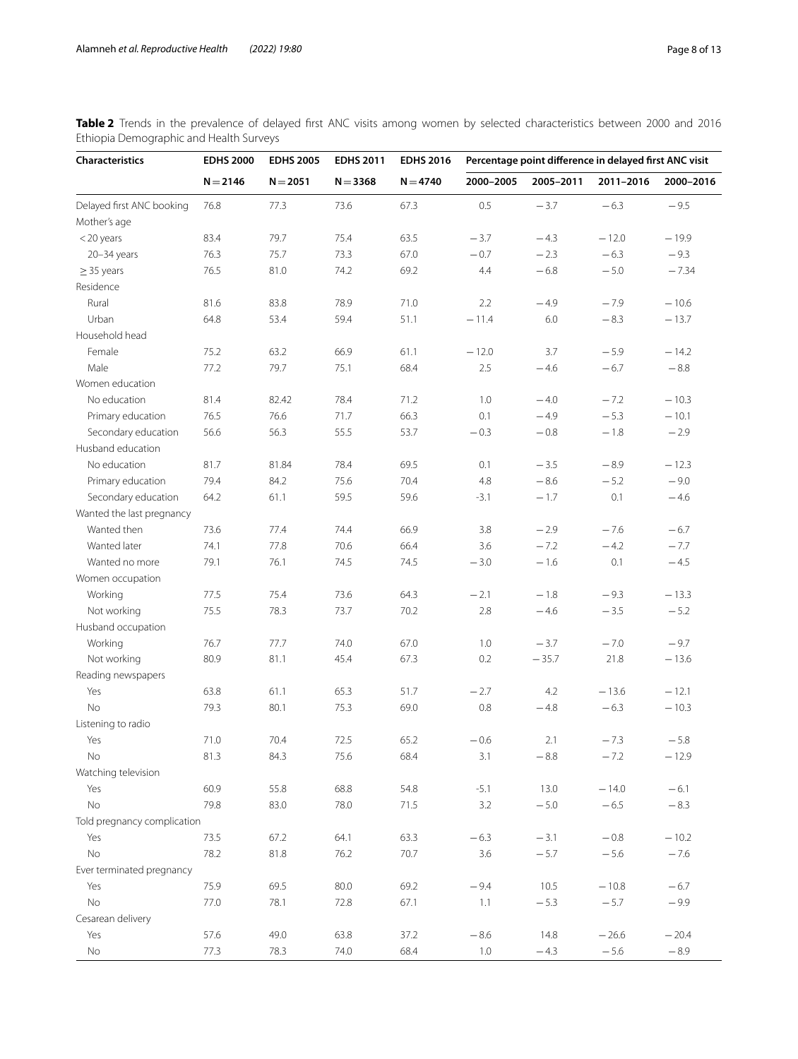| Characteristics             | <b>EDHS 2000</b> | <b>EDHS 2005</b> | <b>EDHS 2011</b> | <b>EDHS 2016</b> | Percentage point difference in delayed first ANC visit |           |           |           |
|-----------------------------|------------------|------------------|------------------|------------------|--------------------------------------------------------|-----------|-----------|-----------|
|                             | $N = 2146$       | $N = 2051$       | $N = 3368$       | $N = 4740$       | 2000-2005                                              | 2005-2011 | 2011-2016 | 2000-2016 |
| Delayed first ANC booking   | 76.8             | 77.3             | 73.6             | 67.3             | 0.5                                                    | $-3.7$    | $-6.3$    | $-9.5$    |
| Mother's age                |                  |                  |                  |                  |                                                        |           |           |           |
| $<$ 20 years                | 83.4             | 79.7             | 75.4             | 63.5             | $-3.7$                                                 | $-4.3$    | $-12.0$   | $-19.9$   |
| $20 - 34$ years             | 76.3             | 75.7             | 73.3             | 67.0             | $-0.7$                                                 | $-2.3$    | $-6.3$    | $-9.3$    |
| $\geq$ 35 years             | 76.5             | 81.0             | 74.2             | 69.2             | 4.4                                                    | $-6.8$    | $-5.0$    | $-7.34$   |
| Residence                   |                  |                  |                  |                  |                                                        |           |           |           |
| Rural                       | 81.6             | 83.8             | 78.9             | 71.0             | 2.2                                                    | $-4.9$    | $-7.9$    | $-10.6$   |
| Urban                       | 64.8             | 53.4             | 59.4             | 51.1             | $-11.4$                                                | 6.0       | $-8.3$    | $-13.7$   |
| Household head              |                  |                  |                  |                  |                                                        |           |           |           |
| Female                      | 75.2             | 63.2             | 66.9             | 61.1             | $-12.0$                                                | 3.7       | $-5.9$    | $-14.2$   |
| Male                        | 77.2             | 79.7             | 75.1             | 68.4             | 2.5                                                    | $-4.6$    | $-6.7$    | $-8.8$    |
| Women education             |                  |                  |                  |                  |                                                        |           |           |           |
| No education                | 81.4             | 82.42            | 78.4             | 71.2             | 1.0                                                    | $-4.0$    | $-7.2$    | $-10.3$   |
| Primary education           | 76.5             | 76.6             | 71.7             | 66.3             | 0.1                                                    | $-4.9$    | $-5.3$    | $-10.1$   |
| Secondary education         | 56.6             | 56.3             | 55.5             | 53.7             | $-0.3$                                                 | $-0.8$    | $-1.8$    | $-2.9$    |
| Husband education           |                  |                  |                  |                  |                                                        |           |           |           |
| No education                | 81.7             | 81.84            | 78.4             | 69.5             | 0.1                                                    | $-3.5$    | $-8.9$    | $-12.3$   |
| Primary education           | 79.4             | 84.2             | 75.6             | 70.4             | 4.8                                                    | $-8.6$    | $-5.2$    | $-9.0$    |
| Secondary education         | 64.2             | 61.1             | 59.5             | 59.6             | $-3.1$                                                 | $-1.7$    | 0.1       | $-4.6$    |
| Wanted the last pregnancy   |                  |                  |                  |                  |                                                        |           |           |           |
| Wanted then                 | 73.6             | 77.4             | 74.4             | 66.9             | 3.8                                                    | $-2.9$    | $-7.6$    | $-6.7$    |
| Wanted later                | 74.1             | 77.8             | 70.6             | 66.4             | 3.6                                                    | $-7.2$    | $-4.2$    | $-7.7$    |
| Wanted no more              | 79.1             | 76.1             | 74.5             | 74.5             | $-3.0$                                                 | $-1.6$    | 0.1       | $-4.5$    |
| Women occupation            |                  |                  |                  |                  |                                                        |           |           |           |
| Working                     | 77.5             | 75.4             | 73.6             | 64.3             | $-2.1$                                                 | $-1.8$    | $-9.3$    | $-13.3$   |
| Not working                 | 75.5             | 78.3             | 73.7             | 70.2             | 2.8                                                    | $-4.6$    | $-3.5$    | $-5.2$    |
|                             |                  |                  |                  |                  |                                                        |           |           |           |
| Husband occupation          |                  |                  |                  |                  |                                                        |           |           |           |
| Working                     | 76.7             | 77.7             | 74.0             | 67.0             | 1.0                                                    | $-3.7$    | $-7.0$    | $-9.7$    |
| Not working                 | 80.9             | 81.1             | 45.4             | 67.3             | 0.2                                                    | $-35.7$   | 21.8      | $-13.6$   |
| Reading newspapers          |                  |                  |                  |                  |                                                        |           |           |           |
| Yes                         | 63.8             | 61.1             | 65.3             | 51.7             | $-2.7$                                                 | 4.2       | $-13.6$   | $-12.1$   |
| <b>No</b>                   | 79.3             | 80.1             | 75.3             | 69.0             | 0.8                                                    | $-4.8$    | $-6.3$    | $-10.3$   |
| Listening to radio          |                  |                  |                  |                  |                                                        |           |           |           |
| Yes                         | 71.0             | 70.4             | 72.5             | 65.2             | $-0.6$                                                 | 2.1       | $-7.3$    | $-5.8$    |
| No                          | 81.3             | 84.3             | 75.6             | 68.4             | 3.1                                                    | $-8.8$    | $-7.2$    | $-12.9$   |
| Watching television         |                  |                  |                  |                  |                                                        |           |           |           |
| Yes                         | 60.9             | 55.8             | 68.8             | 54.8             | $-5.1$                                                 | 13.0      | $-14.0$   | $-6.1$    |
| <b>No</b>                   | 79.8             | 83.0             | 78.0             | 71.5             | 3.2                                                    | $-5.0$    | $-6.5$    | $-8.3$    |
| Told pregnancy complication |                  |                  |                  |                  |                                                        |           |           |           |
| Yes                         | 73.5             | 67.2             | 64.1             | 63.3             | $-6.3$                                                 | $-3.1$    | $-0.8\,$  | $-10.2$   |
| <b>No</b>                   | 78.2             | 81.8             | 76.2             | 70.7             | 3.6                                                    | $-5.7$    | $-5.6$    | $-7.6$    |
| Ever terminated pregnancy   |                  |                  |                  |                  |                                                        |           |           |           |
| Yes                         | 75.9             | 69.5             | 80.0             | 69.2             | $-9.4$                                                 | 10.5      | $-10.8$   | $-6.7$    |
| <b>No</b>                   | 77.0             | 78.1             | 72.8             | 67.1             | 1.1                                                    | $-5.3$    | $-5.7$    | $-9.9$    |
| Cesarean delivery           |                  |                  |                  |                  |                                                        |           |           |           |
| Yes                         | 57.6             | 49.0             | 63.8             | 37.2             | $-8.6$                                                 | 14.8      | $-26.6$   | $-20.4$   |
| No                          | 77.3             | 78.3             | 74.0             | 68.4             | 1.0                                                    | $-4.3$    | $-5.6$    | $-8.9$    |

<span id="page-7-0"></span>**Table 2** Trends in the prevalence of delayed first ANC visits among women by selected characteristics between 2000 and 2016 Ethiopia Demographic and Health Surveys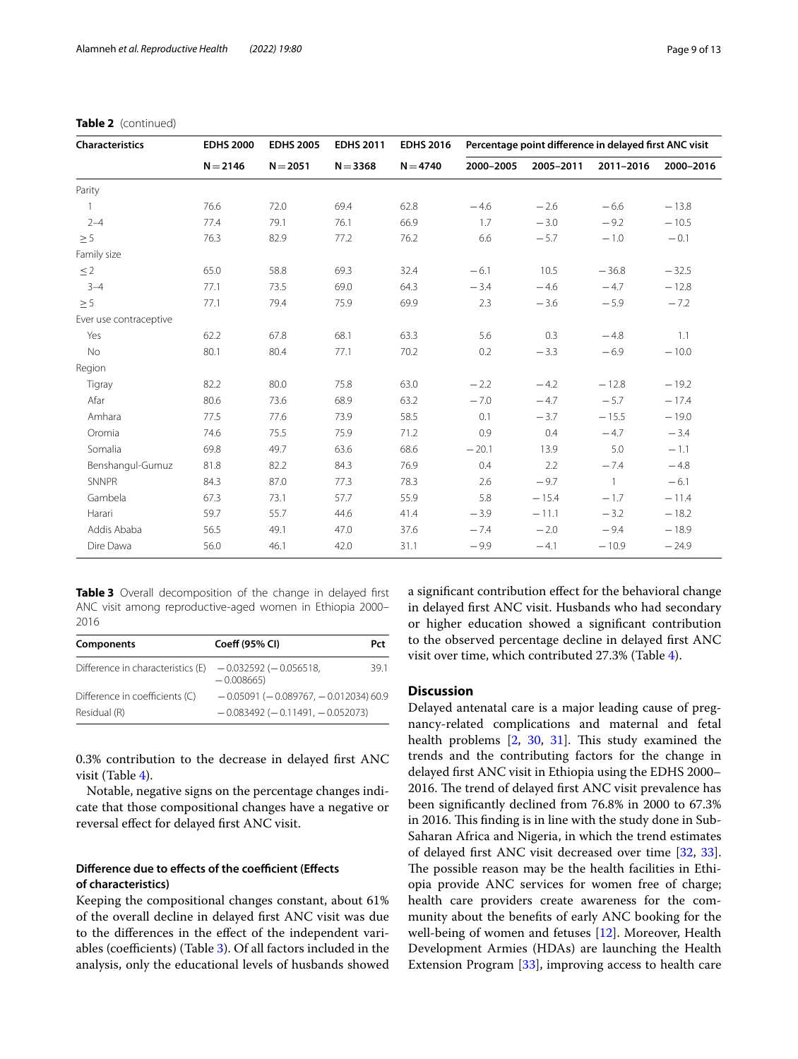| Characteristics        | <b>EDHS 2000</b> | <b>EDHS 2005</b> | <b>EDHS 2011</b> | <b>EDHS 2016</b> | Percentage point difference in delayed first ANC visit |           |                |           |
|------------------------|------------------|------------------|------------------|------------------|--------------------------------------------------------|-----------|----------------|-----------|
|                        | $N = 2146$       | $N = 2051$       | $N = 3368$       | $N = 4740$       | 2000-2005                                              | 2005-2011 | 2011-2016      | 2000-2016 |
| Parity                 |                  |                  |                  |                  |                                                        |           |                |           |
| $\mathbf{1}$           | 76.6             | 72.0             | 69.4             | 62.8             | $-4.6$                                                 | $-2.6$    | $-6.6$         | $-13.8$   |
| $2 - 4$                | 77.4             | 79.1             | 76.1             | 66.9             | 1.7                                                    | $-3.0$    | $-9.2$         | $-10.5$   |
| $\geq 5$               | 76.3             | 82.9             | 77.2             | 76.2             | 6.6                                                    | $-5.7$    | $-1.0$         | $-0.1$    |
| Family size            |                  |                  |                  |                  |                                                        |           |                |           |
| $\leq$ 2               | 65.0             | 58.8             | 69.3             | 32.4             | $-6.1$                                                 | 10.5      | $-36.8$        | $-32.5$   |
| $3 - 4$                | 77.1             | 73.5             | 69.0             | 64.3             | $-3.4$                                                 | $-4.6$    | $-4.7$         | $-12.8$   |
| $\geq 5$               | 77.1             | 79.4             | 75.9             | 69.9             | 2.3                                                    | $-3.6$    | $-5.9$         | $-7.2$    |
| Ever use contraceptive |                  |                  |                  |                  |                                                        |           |                |           |
| Yes                    | 62.2             | 67.8             | 68.1             | 63.3             | 5.6                                                    | 0.3       | $-4.8$         | 1.1       |
| No                     | 80.1             | 80.4             | 77.1             | 70.2             | 0.2                                                    | $-3.3$    | $-6.9$         | $-10.0$   |
| Region                 |                  |                  |                  |                  |                                                        |           |                |           |
| Tigray                 | 82.2             | 80.0             | 75.8             | 63.0             | $-2.2$                                                 | $-4.2$    | $-12.8$        | $-19.2$   |
| Afar                   | 80.6             | 73.6             | 68.9             | 63.2             | $-7.0$                                                 | $-4.7$    | $-5.7$         | $-17.4$   |
| Amhara                 | 77.5             | 77.6             | 73.9             | 58.5             | 0.1                                                    | $-3.7$    | $-15.5$        | $-19.0$   |
| Oromia                 | 74.6             | 75.5             | 75.9             | 71.2             | 0.9                                                    | 0.4       | $-4.7$         | $-3.4$    |
| Somalia                | 69.8             | 49.7             | 63.6             | 68.6             | $-20.1$                                                | 13.9      | 5.0            | $-1.1$    |
| Benshangul-Gumuz       | 81.8             | 82.2             | 84.3             | 76.9             | 0.4                                                    | 2.2       | $-7.4$         | $-4.8$    |
| SNNPR                  | 84.3             | 87.0             | 77.3             | 78.3             | 2.6                                                    | $-9.7$    | $\overline{1}$ | $-6.1$    |
| Gambela                | 67.3             | 73.1             | 57.7             | 55.9             | 5.8                                                    | $-15.4$   | $-1.7$         | $-11.4$   |
| Harari                 | 59.7             | 55.7             | 44.6             | 41.4             | $-3.9$                                                 | $-11.1$   | $-3.2$         | $-18.2$   |
| Addis Ababa            | 56.5             | 49.1             | 47.0             | 37.6             | $-7.4$                                                 | $-2.0$    | $-9.4$         | $-18.9$   |
| Dire Dawa              | 56.0             | 46.1             | 42.0             | 31.1             | $-9.9$                                                 | $-4.1$    | $-10.9$        | $-24.9$   |

# **Table 2** (continued)

<span id="page-8-0"></span>**Table 3** Overall decomposition of the change in delayed frst ANC visit among reproductive-aged women in Ethiopia 2000– 2016

| Components                        | Coeff (95% CI)                             | Pct  |
|-----------------------------------|--------------------------------------------|------|
| Difference in characteristics (E) | $-0.032592$ ( $-0.056518$ )<br>$-0.008665$ | 39.1 |
| Difference in coefficients (C)    | $-0.05091(-0.089767, -0.012034)60.9$       |      |
| Residual (R)                      | $-0.083492$ ( $-0.11491$ , $-0.052073$ )   |      |

0.3% contribution to the decrease in delayed frst ANC visit (Table [4\)](#page-9-0).

Notable, negative signs on the percentage changes indicate that those compositional changes have a negative or reversal efect for delayed frst ANC visit.

# **Difference due to effects of the coefficient (Effects of characteristics)**

Keeping the compositional changes constant, about 61% of the overall decline in delayed frst ANC visit was due to the diferences in the efect of the independent variables (coefficients) (Table  $3$ ). Of all factors included in the analysis, only the educational levels of husbands showed a signifcant contribution efect for the behavioral change in delayed frst ANC visit. Husbands who had secondary or higher education showed a signifcant contribution to the observed percentage decline in delayed frst ANC visit over time, which contributed 27.3% (Table [4\)](#page-9-0).

# **Discussion**

Delayed antenatal care is a major leading cause of pregnancy-related complications and maternal and fetal health problems  $[2, 30, 31]$  $[2, 30, 31]$  $[2, 30, 31]$  $[2, 30, 31]$  $[2, 30, 31]$  $[2, 30, 31]$ . This study examined the trends and the contributing factors for the change in delayed frst ANC visit in Ethiopia using the EDHS 2000– 2016. The trend of delayed first ANC visit prevalence has been signifcantly declined from 76.8% in 2000 to 67.3% in 2016. This finding is in line with the study done in Sub-Saharan Africa and Nigeria, in which the trend estimates of delayed frst ANC visit decreased over time [[32](#page-12-10), [33](#page-12-11)]. The possible reason may be the health facilities in Ethiopia provide ANC services for women free of charge; health care providers create awareness for the community about the benefts of early ANC booking for the well-being of women and fetuses [[12](#page-11-11)]. Moreover, Health Development Armies (HDAs) are launching the Health Extension Program [\[33\]](#page-12-11), improving access to health care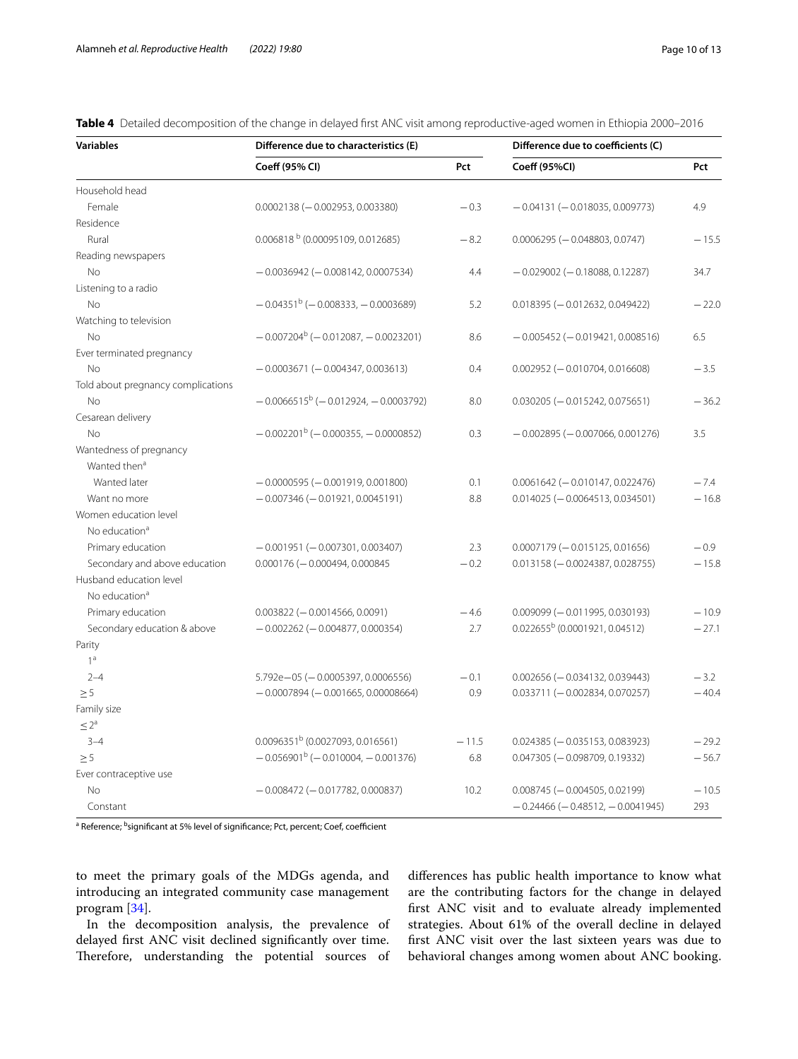<span id="page-9-0"></span>**Table 4** Detailed decomposition of the change in delayed frst ANC visit among reproductive-aged women in Ethiopia 2000–2016

| <b>Variables</b>                                    | Difference due to characteristics (E)   | Difference due to coefficients (C) |                                          |         |
|-----------------------------------------------------|-----------------------------------------|------------------------------------|------------------------------------------|---------|
|                                                     | Coeff (95% CI)                          | Pct                                | Coeff (95%CI)                            | Pct     |
| Household head                                      |                                         |                                    |                                          |         |
| Female                                              | $0.0002138 (-0.002953, 0.003380)$       | $-0.3$                             | $-0.04131(-0.018035, 0.009773)$          | 4.9     |
| Residence                                           |                                         |                                    |                                          |         |
| Rural                                               | 0.006818 b (0.00095109, 0.012685)       | $-8.2$                             | $0.0006295 (-0.048803, 0.0747)$          | $-15.5$ |
| Reading newspapers                                  |                                         |                                    |                                          |         |
| <b>No</b>                                           | $-0.0036942$ ( $-0.008142$ , 0.0007534) | 4.4                                | $-0.029002$ ( $-0.18088, 0.12287$ )      | 34.7    |
| Listening to a radio                                |                                         |                                    |                                          |         |
| <b>No</b>                                           | $-0.04351b$ (-0.008333, -0.0003689)     | 5.2                                | $0.018395 (-0.012632, 0.049422)$         | $-22.0$ |
| Watching to television                              |                                         |                                    |                                          |         |
| <b>No</b>                                           | $-0.007204^b (-0.012087, -0.0023201)$   | 8.6                                | $-0.005452$ ( $-0.019421$ , 0.008516)    | 6.5     |
| Ever terminated pregnancy                           |                                         |                                    |                                          |         |
| <b>No</b>                                           | $-0.0003671(-0.004347, 0.003613)$       | 0.4                                | $0.002952$ (-0.010704, 0.016608)         | $-3.5$  |
| Told about pregnancy complications                  |                                         |                                    |                                          |         |
| <b>No</b>                                           | $-0.0066515^b (-0.012924, -0.0003792)$  | 8.0                                | $0.030205 (-0.015242, 0.075651)$         | $-36.2$ |
| Cesarean delivery                                   |                                         |                                    |                                          |         |
| No                                                  | $-0.002201^b$ (-0.000355, -0.0000852)   | 0.3                                | $-0.002895 (-0.007066, 0.001276)$        | 3.5     |
| Wantedness of pregnancy<br>Wanted then <sup>a</sup> |                                         |                                    |                                          |         |
| Wanted later                                        | $-0.0000595 (-0.001919, 0.001800)$      | 0.1                                | $0.0061642$ ( $-0.010147, 0.022476$ )    | $-7.4$  |
| Want no more                                        | $-0.007346 (-0.01921, 0.0045191)$       | 8.8                                | $0.014025 (-0.0064513, 0.034501)$        | $-16.8$ |
| Women education level                               |                                         |                                    |                                          |         |
| No education <sup>a</sup>                           |                                         |                                    |                                          |         |
| Primary education                                   | $-0.001951 (-0.007301, 0.003407)$       | 2.3                                | $0.0007179 (-0.015125, 0.01656)$         | $-0.9$  |
| Secondary and above education                       | $0.000176 (-0.000494, 0.000845)$        | $-0.2$                             | $0.013158 (-0.0024387, 0.028755)$        | $-15.8$ |
| Husband education level                             |                                         |                                    |                                          |         |
| No education <sup>a</sup>                           |                                         |                                    |                                          |         |
| Primary education                                   | $0.003822 (-0.0014566, 0.0091)$         | $-4.6$                             | $0.009099 (-0.011995, 0.030193)$         | $-10.9$ |
| Secondary education & above                         | $-0.002262$ ( $-0.004877, 0.000354$ )   | 2.7                                | $0.022655b$ (0.0001921, 0.04512)         | $-27.1$ |
| Parity                                              |                                         |                                    |                                          |         |
| 1 <sup>a</sup>                                      |                                         |                                    |                                          |         |
| $2 - 4$                                             | $5.792e - 05 (-0.0005397, 0.0006556)$   | $-0.1$                             | $0.002656$ ( $-0.034132$ , 0.039443)     | $-3.2$  |
| $\geq 5$                                            | $-0.0007894 (-0.001665, 0.00008664)$    | 0.9                                | $0.033711 (-0.002834, 0.070257)$         | $-40.4$ |
| Family size                                         |                                         |                                    |                                          |         |
| $\leq 2^a$                                          |                                         |                                    |                                          |         |
| $3 - 4$                                             | $0.0096351^{b}$ (0.0027093, 0.016561)   | $-11.5$                            | $0.024385 (-0.035153, 0.083923)$         | $-29.2$ |
| $\geq 5$                                            | $-0.056901^{b}$ (-0.010004, -0.001376)  | 6.8                                | $0.047305 (-0.098709, 0.19332)$          | $-56.7$ |
| Ever contraceptive use                              |                                         |                                    |                                          |         |
| No                                                  | $-0.008472$ ( $-0.017782$ , 0.000837)   | 10.2                               | $0.008745 (-0.004505, 0.02199)$          | $-10.5$ |
| Constant                                            |                                         |                                    | $-0.24466$ ( $-0.48512$ , $-0.0041945$ ) | 293     |

<sup>a</sup> Reference; <sup>b</sup>significant at 5% level of significance; Pct, percent; Coef, coefficient

to meet the primary goals of the MDGs agenda, and introducing an integrated community case management program [[34](#page-12-12)].

In the decomposition analysis, the prevalence of delayed frst ANC visit declined signifcantly over time. Therefore, understanding the potential sources of diferences has public health importance to know what are the contributing factors for the change in delayed frst ANC visit and to evaluate already implemented strategies. About 61% of the overall decline in delayed frst ANC visit over the last sixteen years was due to behavioral changes among women about ANC booking.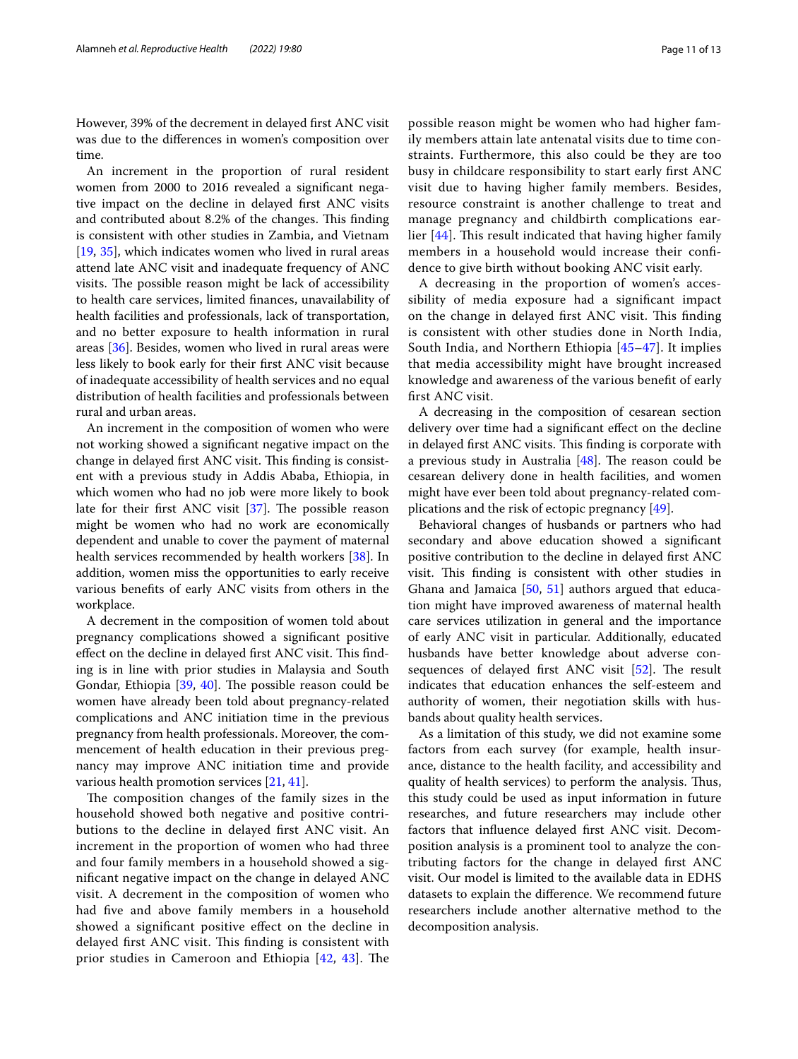However, 39% of the decrement in delayed frst ANC visit was due to the diferences in women's composition over time.

An increment in the proportion of rural resident women from 2000 to 2016 revealed a signifcant negative impact on the decline in delayed frst ANC visits and contributed about 8.2% of the changes. This finding is consistent with other studies in Zambia, and Vietnam [[19,](#page-12-2) [35\]](#page-12-13), which indicates women who lived in rural areas attend late ANC visit and inadequate frequency of ANC visits. The possible reason might be lack of accessibility to health care services, limited fnances, unavailability of health facilities and professionals, lack of transportation, and no better exposure to health information in rural areas [[36\]](#page-12-14). Besides, women who lived in rural areas were less likely to book early for their frst ANC visit because of inadequate accessibility of health services and no equal distribution of health facilities and professionals between rural and urban areas.

An increment in the composition of women who were not working showed a signifcant negative impact on the change in delayed first ANC visit. This finding is consistent with a previous study in Addis Ababa, Ethiopia, in which women who had no job were more likely to book late for their first ANC visit  $[37]$  $[37]$  $[37]$ . The possible reason might be women who had no work are economically dependent and unable to cover the payment of maternal health services recommended by health workers [\[38](#page-12-16)]. In addition, women miss the opportunities to early receive various benefts of early ANC visits from others in the workplace.

A decrement in the composition of women told about pregnancy complications showed a signifcant positive effect on the decline in delayed first ANC visit. This finding is in line with prior studies in Malaysia and South Gondar, Ethiopia  $[39, 40]$  $[39, 40]$  $[39, 40]$ . The possible reason could be women have already been told about pregnancy-related complications and ANC initiation time in the previous pregnancy from health professionals. Moreover, the commencement of health education in their previous pregnancy may improve ANC initiation time and provide various health promotion services [[21,](#page-12-19) [41](#page-12-20)].

The composition changes of the family sizes in the household showed both negative and positive contributions to the decline in delayed frst ANC visit. An increment in the proportion of women who had three and four family members in a household showed a signifcant negative impact on the change in delayed ANC visit. A decrement in the composition of women who had five and above family members in a household showed a signifcant positive efect on the decline in delayed first ANC visit. This finding is consistent with prior studies in Cameroon and Ethiopia  $[42, 43]$  $[42, 43]$  $[42, 43]$  $[42, 43]$  $[42, 43]$ . The possible reason might be women who had higher family members attain late antenatal visits due to time constraints. Furthermore, this also could be they are too busy in childcare responsibility to start early frst ANC visit due to having higher family members. Besides, resource constraint is another challenge to treat and manage pregnancy and childbirth complications earlier  $[44]$  $[44]$ . This result indicated that having higher family members in a household would increase their confdence to give birth without booking ANC visit early.

A decreasing in the proportion of women's accessibility of media exposure had a signifcant impact on the change in delayed first ANC visit. This finding is consistent with other studies done in North India, South India, and Northern Ethiopia [\[45–](#page-12-24)[47\]](#page-12-25). It implies that media accessibility might have brought increased knowledge and awareness of the various beneft of early frst ANC visit.

A decreasing in the composition of cesarean section delivery over time had a signifcant efect on the decline in delayed first ANC visits. This finding is corporate with a previous study in Australia  $[48]$  $[48]$ . The reason could be cesarean delivery done in health facilities, and women might have ever been told about pregnancy-related complications and the risk of ectopic pregnancy [[49\]](#page-12-27).

Behavioral changes of husbands or partners who had secondary and above education showed a signifcant positive contribution to the decline in delayed frst ANC visit. This finding is consistent with other studies in Ghana and Jamaica [[50](#page-12-28), [51](#page-12-29)] authors argued that education might have improved awareness of maternal health care services utilization in general and the importance of early ANC visit in particular. Additionally, educated husbands have better knowledge about adverse consequences of delayed first ANC visit  $[52]$  $[52]$ . The result indicates that education enhances the self-esteem and authority of women, their negotiation skills with husbands about quality health services.

As a limitation of this study, we did not examine some factors from each survey (for example, health insurance, distance to the health facility, and accessibility and quality of health services) to perform the analysis. Thus, this study could be used as input information in future researches, and future researchers may include other factors that infuence delayed frst ANC visit. Decomposition analysis is a prominent tool to analyze the contributing factors for the change in delayed frst ANC visit. Our model is limited to the available data in EDHS datasets to explain the diference. We recommend future researchers include another alternative method to the decomposition analysis.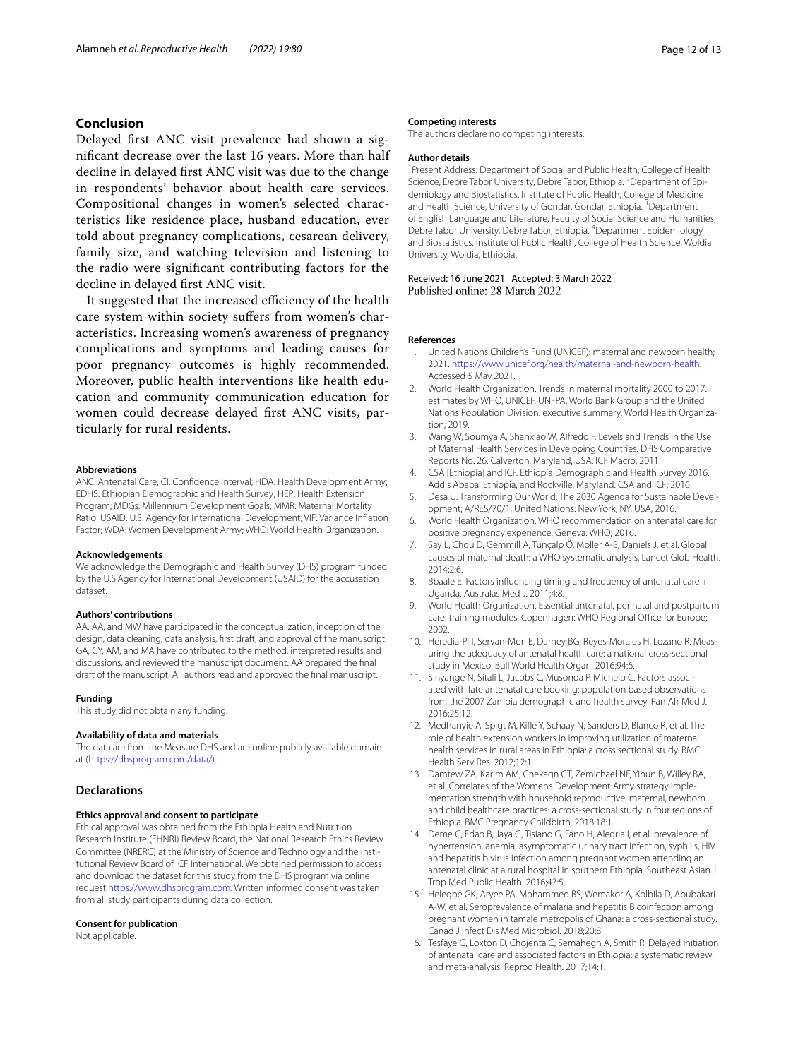# **Conclusion**

Delayed frst ANC visit prevalence had shown a signifcant decrease over the last 16 years. More than half decline in delayed frst ANC visit was due to the change in respondents' behavior about health care services. Compositional changes in women's selected characteristics like residence place, husband education, ever told about pregnancy complications, cesarean delivery, family size, and watching television and listening to the radio were signifcant contributing factors for the decline in delayed frst ANC visit.

It suggested that the increased efficiency of the health care system within society sufers from women's characteristics. Increasing women's awareness of pregnancy complications and symptoms and leading causes for poor pregnancy outcomes is highly recommended. Moreover, public health interventions like health education and community communication education for women could decrease delayed frst ANC visits, particularly for rural residents.

#### **Abbreviations**

ANC: Antenatal Care; CI: Confdence Interval; HDA: Health Development Army; EDHS: Ethiopian Demographic and Health Survey; HEP: Health Extension Program; MDGs: Millennium Development Goals; MMR: Maternal Mortality Ratio; USAID: U.S. Agency for International Development; VIF: Variance Infation Factor; WDA: Women Development Army; WHO: World Health Organization.

#### **Acknowledgements**

We acknowledge the Demographic and Health Survey (DHS) program funded by the U.S.Agency for International Development (USAID) for the accusation dataset.

#### **Authors' contributions**

AA, AA, and MW have participated in the conceptualization, inception of the design, data cleaning, data analysis, frst draft, and approval of the manuscript. GA, CY, AM, and MA have contributed to the method, interpreted results and discussions, and reviewed the manuscript document. AA prepared the fnal draft of the manuscript. All authors read and approved the fnal manuscript.

#### **Funding**

This study did not obtain any funding.

#### **Availability of data and materials**

The data are from the Measure DHS and are online publicly available domain at [\(https://dhsprogram.com/data/](https://dhsprogram.com/data/)).

# **Declarations**

# **Ethics approval and consent to participate**

Ethical approval was obtained from the Ethiopia Health and Nutrition Research Institute (EHNRI) Review Board, the National Research Ethics Review Committee (NRERC) at the Ministry of Science and Technology and the Institutional Review Board of ICF International. We obtained permission to access and download the dataset for this study from the DHS program via online request <https://www.dhsprogram.com>. Written informed consent was taken from all study participants during data collection.

#### **Consent for publication**

Not applicable.

#### **Competing interests**

The authors declare no competing interests.

#### **Author details**

<sup>1</sup> Present Address: Department of Social and Public Health, College of Health Science, Debre Tabor University, Debre Tabor, Ethiopia. <sup>2</sup> Department of Epidemiology and Biostatistics, Institute of Public Health, College of Medicine and Health Science, University of Gondar, Gondar, Ethiopia. <sup>3</sup> Department of English Language and Literature, Faculty of Social Science and Humanities, Debre Tabor University, Debre Tabor, Ethiopia. 4 Department Epidemiology and Biostatistics, Institute of Public Health, College of Health Science, Woldia University, Woldia, Ethiopia.

# Received: 16 June 2021 Accepted: 3 March 2022<br>Published online: 28 March 2022

#### **References**

- <span id="page-11-0"></span>United Nations Children's Fund (UNICEF): maternal and newborn health; 2021.<https://www.unicef.org/health/maternal-and-newborn-health>. Accessed 5 May 2021.
- <span id="page-11-1"></span>2. World Health Organization. Trends in maternal mortality 2000 to 2017: estimates by WHO, UNICEF, UNFPA, World Bank Group and the United Nations Population Division: executive summary. World Health Organization; 2019.
- <span id="page-11-2"></span>3. Wang W, Soumya A, Shanxiao W, Alfredo F. Levels and Trends in the Use of Maternal Health Services in Developing Countries. DHS Comparative Reports No. 26. Calverton, Maryland, USA: ICF Macro; 2011.
- <span id="page-11-3"></span>CSA [Ethiopia] and ICF. Ethiopia Demographic and Health Survey 2016. Addis Ababa, Ethiopia, and Rockville, Maryland: CSA and ICF; 2016.
- <span id="page-11-4"></span>5. Desa U. Transforming Our World: The 2030 Agenda for Sustainable Development; A/RES/70/1; United Nations: New York, NY, USA, 2016.
- <span id="page-11-5"></span>6. World Health Organization. WHO recommendation on antenatal care for positive pregnancy experience. Geneva: WHO; 2016.
- <span id="page-11-6"></span>7. Say L, Chou D, Gemmill A, Tunçalp Ö, Moller A-B, Daniels J, et al. Global causes of maternal death: a WHO systematic analysis. Lancet Glob Health. 2014;2:6.
- <span id="page-11-7"></span>8. Bbaale E. Factors infuencing timing and frequency of antenatal care in Uganda. Australas Med J. 2011;4:8.
- <span id="page-11-8"></span>9. World Health Organization. Essential antenatal, perinatal and postpartum care: training modules. Copenhagen: WHO Regional Office for Europe; 2002.
- <span id="page-11-9"></span>10. Heredia-Pi I, Servan-Mori E, Darney BG, Reyes-Morales H, Lozano R. Measuring the adequacy of antenatal health care: a national cross-sectional study in Mexico. Bull World Health Organ. 2016;94:6.
- <span id="page-11-10"></span>11. Sinyange N, Sitali L, Jacobs C, Musonda P, Michelo C. Factors associated with late antenatal care booking: population based observations from the 2007 Zambia demographic and health survey. Pan Afr Med J. 2016;25:12.
- <span id="page-11-11"></span>12. Medhanyie A, Spigt M, Kife Y, Schaay N, Sanders D, Blanco R, et al. The role of health extension workers in improving utilization of maternal health services in rural areas in Ethiopia: a cross sectional study. BMC Health Serv Res. 2012;12:1.
- <span id="page-11-12"></span>13. Damtew ZA, Karim AM, Chekagn CT, Zemichael NF, Yihun B, Willey BA, et al. Correlates of the Women's Development Army strategy implementation strength with household reproductive, maternal, newborn and child healthcare practices: a cross-sectional study in four regions of Ethiopia. BMC Pregnancy Childbirth. 2018;18:1.
- <span id="page-11-13"></span>14. Deme C, Edao B, Jaya G, Tisiano G, Fano H, Alegria I, et al. prevalence of hypertension, anemia, asymptomatic urinary tract infection, syphilis, HIV and hepatitis b virus infection among pregnant women attending an antenatal clinic at a rural hospital in southern Ethiopia. Southeast Asian J Trop Med Public Health. 2016;47:5.
- 15. Helegbe GK, Aryee PA, Mohammed BS, Wemakor A, Kolbila D, Abubakari A-W, et al. Seroprevalence of malaria and hepatitis B coinfection among pregnant women in tamale metropolis of Ghana: a cross-sectional study. Canad J Infect Dis Med Microbiol. 2018;20:8.
- <span id="page-11-14"></span>16. Tesfaye G, Loxton D, Chojenta C, Semahegn A, Smith R. Delayed initiation of antenatal care and associated factors in Ethiopia: a systematic review and meta-analysis. Reprod Health. 2017;14:1.